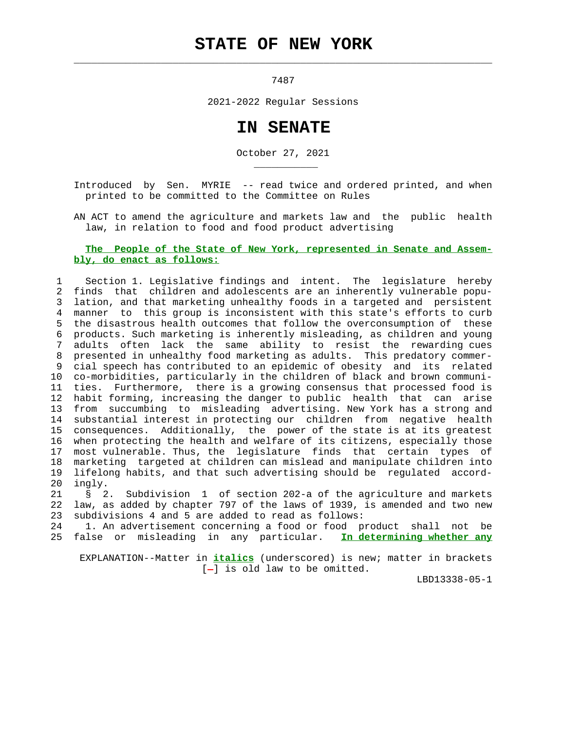## **STATE OF NEW YORK**

 $\mathcal{L}_\text{max} = \frac{1}{2} \sum_{i=1}^{n} \frac{1}{2} \sum_{i=1}^{n} \frac{1}{2} \sum_{i=1}^{n} \frac{1}{2} \sum_{i=1}^{n} \frac{1}{2} \sum_{i=1}^{n} \frac{1}{2} \sum_{i=1}^{n} \frac{1}{2} \sum_{i=1}^{n} \frac{1}{2} \sum_{i=1}^{n} \frac{1}{2} \sum_{i=1}^{n} \frac{1}{2} \sum_{i=1}^{n} \frac{1}{2} \sum_{i=1}^{n} \frac{1}{2} \sum_{i=1}^{n} \frac{1$ 

\_\_\_\_\_\_\_\_\_\_\_

7487

2021-2022 Regular Sessions

## **IN SENATE**

October 27, 2021

 Introduced by Sen. MYRIE -- read twice and ordered printed, and when printed to be committed to the Committee on Rules

 AN ACT to amend the agriculture and markets law and the public health law, in relation to food and food product advertising

## **The People of the State of New York, represented in Senate and Assem bly, do enact as follows:**

 1 Section 1. Legislative findings and intent. The legislature hereby 2 finds that children and adolescents are an inherently vulnerable popu- 3 lation, and that marketing unhealthy foods in a targeted and persistent 4 manner to this group is inconsistent with this state's efforts to curb 5 the disastrous health outcomes that follow the overconsumption of these 6 products. Such marketing is inherently misleading, as children and young 7 adults often lack the same ability to resist the rewarding cues 8 presented in unhealthy food marketing as adults. This predatory commer- 9 cial speech has contributed to an epidemic of obesity and its related 10 co-morbidities, particularly in the children of black and brown communi- 11 ties. Furthermore, there is a growing consensus that processed food is 12 habit forming, increasing the danger to public health that can arise 13 from succumbing to misleading advertising. New York has a strong and 14 substantial interest in protecting our children from negative health 15 consequences. Additionally, the power of the state is at its greatest 16 when protecting the health and welfare of its citizens, especially those 17 most vulnerable. Thus, the legislature finds that certain types of 18 marketing targeted at children can mislead and manipulate children into 19 lifelong habits, and that such advertising should be regulated accord- 20 ingly.

 21 § 2. Subdivision 1 of section 202-a of the agriculture and markets 22 law, as added by chapter 797 of the laws of 1939, is amended and two new 23 subdivisions 4 and 5 are added to read as follows:

 24 1. An advertisement concerning a food or food product shall not be 25 false or misleading in any particular. **In determining whether any**

 EXPLANATION--Matter in **italics** (underscored) is new; matter in brackets  $[-]$  is old law to be omitted.

LBD13338-05-1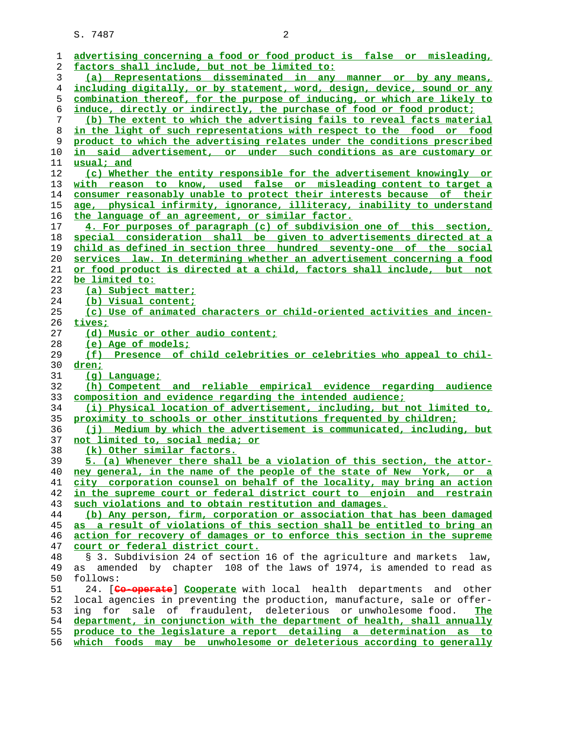S. 7487 2

| ı  | advertising concerning a food or food product is false or misleading,      |
|----|----------------------------------------------------------------------------|
| 2  | factors shall include, but not be limited to:                              |
| 3  | (a) Representations disseminated in any manner or by any means,            |
| 4  | including digitally, or by statement, word, design, device, sound or any   |
| 5  | combination thereof, for the purpose of inducing, or which are likely to   |
| 6  | induce, directly or indirectly, the purchase of food or food product;      |
| 7  | (b) The extent to which the advertising fails to reveal facts material     |
| 8  | in the light of such representations with respect to the food or food      |
| 9  | product to which the advertising relates under the conditions prescribed   |
| 10 | <u>in said advertisement, or under such conditions as are customary or</u> |
| 11 | usual; and                                                                 |
| 12 | (c) Whether the entity responsible for the advertisement knowingly or      |
| 13 | with reason to know, used false or misleading content to target a          |
| 14 | consumer reasonably unable to protect their interests because of their     |
| 15 | age, physical infirmity, ignorance, illiteracy, inability to understand    |
| 16 | the language of an agreement, or similar factor.                           |
| 17 | 4. For purposes of paragraph (c) of subdivision one of this section,       |
| 18 | special consideration shall be given to advertisements directed at a       |
| 19 | child as defined in section three hundred seventy-one of the social        |
| 20 | services law. In determining whether an advertisement concerning a food    |
| 21 | or food product is directed at a child, factors shall include, but not     |
| 22 | be limited to:                                                             |
| 23 | (a) Subject matter;                                                        |
| 24 | (b) Visual content;                                                        |
| 25 | (c) Use of animated characters or child-oriented activities and incen-     |
| 26 | tives;                                                                     |
| 27 | (d) Music or other audio content;                                          |
| 28 | (e) Age of models;                                                         |
| 29 | (f) Presence of child celebrities or celebrities who appeal to chil-       |
| 30 | dren;                                                                      |
| 31 | $(q)$ Language;                                                            |
| 32 | (h) Competent and reliable empirical evidence regarding audience           |
| 33 | composition and evidence regarding the intended audience;                  |
| 34 | (i) Physical location of advertisement, including, but not limited to,     |
| 35 | proximity to schools or other institutions frequented by children;         |
| 36 | (j) Medium by which the advertisement is communicated, including, but      |
| 37 | not limited to, social media; or                                           |
| 38 | (k) Other similar factors.                                                 |
| 39 | 5. (a) Whenever there shall be a violation of this section, the attor-     |
| 40 | ney general, in the name of the people of the state of New York, or a      |
| 41 | city corporation counsel on behalf of the locality, may bring an action    |
| 42 | in the supreme court or federal district court to enjoin and restrain      |
| 43 | such violations and to obtain restitution and damages.                     |
| 44 | (b) Any person, firm, corporation or association that has been damaged     |
| 45 | as a result of violations of this section shall be entitled to bring an    |
| 46 | action for recovery of damages or to enforce this section in the supreme   |
| 47 | court or federal district court.                                           |
| 48 | § 3. Subdivision 24 of section 16 of the agriculture and markets law,      |
| 49 | as amended by chapter 108 of the laws of 1974, is amended to read as       |
| 50 | follows:                                                                   |
| 51 | 24. [Co-operate] Cooperate with local health departments and other         |
| 52 | local agencies in preventing the production, manufacture, sale or offer-   |
| 53 | ing for sale of fraudulent, deleterious or unwholesome food.<br>The        |
| 54 | department, in conjunction with the department of health, shall annually   |
| 55 | produce to the legislature a report detailing a determination as to        |
| 56 | which foods may be unwholesome or deleterious according to generally       |
|    |                                                                            |